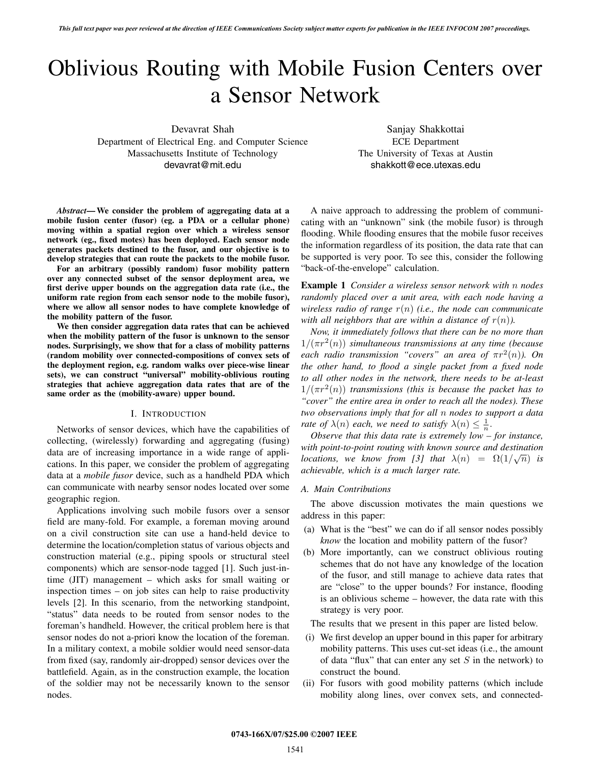# Oblivious Routing with Mobile Fusion Centers over a Sensor Network

Devavrat Shah

Department of Electrical Eng. and Computer Science Massachusetts Institute of Technology devavrat@mit.edu

Sanjay Shakkottai ECE Department The University of Texas at Austin shakkott@ece.utexas.edu

*Abstract***—We consider the problem of aggregating data at a mobile fusion center (fusor) (eg. a PDA or a cellular phone) moving within a spatial region over which a wireless sensor network (eg., fixed motes) has been deployed. Each sensor node generates packets destined to the fusor, and our objective is to develop strategies that can route the packets to the mobile fusor.**

**For an arbitrary (possibly random) fusor mobility pattern over any connected subset of the sensor deployment area, we first derive upper bounds on the aggregation data rate (i.e., the uniform rate region from each sensor node to the mobile fusor), where we allow all sensor nodes to have complete knowledge of the mobility pattern of the fusor.**

**We then consider aggregation data rates that can be achieved when the mobility pattern of the fusor is unknown to the sensor nodes. Surprisingly, we show that for a class of mobility patterns (random mobility over connected-compositions of convex sets of the deployment region, e.g. random walks over piece-wise linear sets), we can construct "universal" mobility-oblivious routing strategies that achieve aggregation data rates that are of the same order as the (mobility-aware) upper bound.**

# I. INTRODUCTION

Networks of sensor devices, which have the capabilities of collecting, (wirelessly) forwarding and aggregating (fusing) data are of increasing importance in a wide range of applications. In this paper, we consider the problem of aggregating data at a *mobile fusor* device, such as a handheld PDA which can communicate with nearby sensor nodes located over some geographic region.

Applications involving such mobile fusors over a sensor field are many-fold. For example, a foreman moving around on a civil construction site can use a hand-held device to determine the location/completion status of various objects and construction material (e.g., piping spools or structural steel components) which are sensor-node tagged [1]. Such just-intime (JIT) management – which asks for small waiting or inspection times – on job sites can help to raise productivity levels [2]. In this scenario, from the networking standpoint, "status" data needs to be routed from sensor nodes to the foreman's handheld. However, the critical problem here is that sensor nodes do not a-priori know the location of the foreman. In a military context, a mobile soldier would need sensor-data from fixed (say, randomly air-dropped) sensor devices over the battlefield. Again, as in the construction example, the location of the soldier may not be necessarily known to the sensor nodes.

A naive approach to addressing the problem of communicating with an "unknown" sink (the mobile fusor) is through flooding. While flooding ensures that the mobile fusor receives the information regardless of its position, the data rate that can be supported is very poor. To see this, consider the following "back-of-the-envelope" calculation.

**Example 1** *Consider a wireless sensor network with* n *nodes randomly placed over a unit area, with each node having a wireless radio of range* r(n) *(i.e., the node can communicate with all neighbors that are within a distance of*  $r(n)$ ).

*Now, it immediately follows that there can be no more than*  $1/(\pi r^2(n))$  *simultaneous transmissions at any time (because each radio transmission "covers" an area of*  $\pi r^2(n)$ *). On the other hand, to flood a single packet from a fixed node to all other nodes in the network, there needs to be at-least*  $1/(\pi r^2(n))$  *transmissions (this is because the packet has to "cover" the entire area in order to reach all the nodes). These two observations imply that for all* n *nodes to support a data rate of*  $\lambda(n)$  *each, we need to satisfy*  $\lambda(n) \leq \frac{1}{n}$ .

*Observe that this data rate is extremely low – for instance, with point-to-point routing with known source and destination locations, we know from* [3] *that*  $\lambda(n) = \Omega(1/\sqrt{n})$  *is achievable, which is a much larger rate.*

### *A. Main Contributions*

The above discussion motivates the main questions we address in this paper:

- (a) What is the "best" we can do if all sensor nodes possibly *know* the location and mobility pattern of the fusor?
- (b) More importantly, can we construct oblivious routing schemes that do not have any knowledge of the location of the fusor, and still manage to achieve data rates that are "close" to the upper bounds? For instance, flooding is an oblivious scheme – however, the data rate with this strategy is very poor.

The results that we present in this paper are listed below.

- (i) We first develop an upper bound in this paper for arbitrary mobility patterns. This uses cut-set ideas (i.e., the amount of data "flux" that can enter any set  $S$  in the network) to construct the bound.
- (ii) For fusors with good mobility patterns (which include mobility along lines, over convex sets, and connected-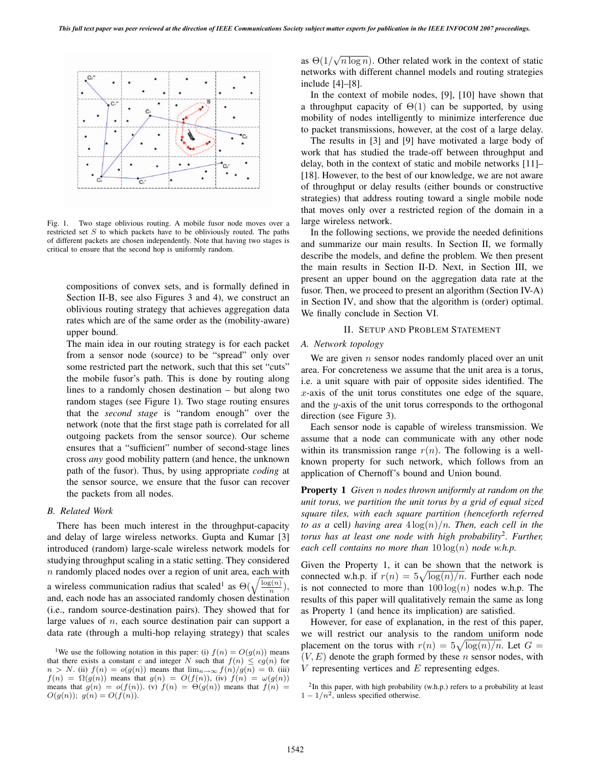

Fig. 1. Two stage oblivious routing. A mobile fusor node moves over a restricted set S to which packets have to be obliviously routed. The paths of different packets are chosen independently. Note that having two stages is critical to ensure that the second hop is uniformly random.

compositions of convex sets, and is formally defined in Section II-B, see also Figures 3 and 4), we construct an oblivious routing strategy that achieves aggregation data rates which are of the same order as the (mobility-aware) upper bound.

The main idea in our routing strategy is for each packet from a sensor node (source) to be "spread" only over some restricted part the network, such that this set "cuts" the mobile fusor's path. This is done by routing along lines to a randomly chosen destination – but along two random stages (see Figure 1). Two stage routing ensures that the *second stage* is "random enough" over the network (note that the first stage path is correlated for all outgoing packets from the sensor source). Our scheme ensures that a "sufficient" number of second-stage lines cross *any* good mobility pattern (and hence, the unknown path of the fusor). Thus, by using appropriate *coding* at the sensor source, we ensure that the fusor can recover the packets from all nodes.

## *B. Related Work*

There has been much interest in the throughput-capacity and delay of large wireless networks. Gupta and Kumar [3] introduced (random) large-scale wireless network models for studying throughput scaling in a static setting. They considered  $n$  randomly placed nodes over a region of unit area, each with a wireless communication radius that scaled<sup>1</sup> as  $\Theta(\sqrt{\frac{\log(n)}{n}})$ , and, each node has an associated randomly chosen destination (i.e., random source-destination pairs). They showed that for large values of  $n$ , each source destination pair can support a data rate (through a multi-hop relaying strategy) that scales

as  $\Theta(1/\sqrt{n \log n})$ . Other related work in the context of static networks with different channel models and routing strategies include [4]–[8].

In the context of mobile nodes, [9], [10] have shown that a throughput capacity of  $\Theta(1)$  can be supported, by using mobility of nodes intelligently to minimize interference due to packet transmissions, however, at the cost of a large delay.

The results in [3] and [9] have motivated a large body of work that has studied the trade-off between throughput and delay, both in the context of static and mobile networks [11]– [18]. However, to the best of our knowledge, we are not aware of throughput or delay results (either bounds or constructive strategies) that address routing toward a single mobile node that moves only over a restricted region of the domain in a large wireless network.

In the following sections, we provide the needed definitions and summarize our main results. In Section II, we formally describe the models, and define the problem. We then present the main results in Section II-D. Next, in Section III, we present an upper bound on the aggregation data rate at the fusor. Then, we proceed to present an algorithm (Section IV-A) in Section IV, and show that the algorithm is (order) optimal. We finally conclude in Section VI.

# II. SETUP AND PROBLEM STATEMENT

# *A. Network topology*

We are given  $n$  sensor nodes randomly placed over an unit area. For concreteness we assume that the unit area is a torus, i.e. a unit square with pair of opposite sides identified. The  $x$ -axis of the unit torus constitutes one edge of the square, and the y-axis of the unit torus corresponds to the orthogonal direction (see Figure 3).

Each sensor node is capable of wireless transmission. We assume that a node can communicate with any other node within its transmission range  $r(n)$ . The following is a wellknown property for such network, which follows from an application of Chernoff's bound and Union bound.

**Property 1** *Given* n *nodes thrown uniformly at random on the unit torus, we partition the unit torus by a grid of equal sized square tiles, with each square partition (henceforth referred to as a* cell) *having area*  $4 \log(n)/n$ *. Then, each cell in the torus has at least one node with high probability*<sup>2</sup>*. Further, each cell contains no more than*  $10 \log(n)$  *node w.h.p.* 

Given the Property 1, it can be shown that the network is connected w.h.p. if  $r(n) = 5\sqrt{\log(n)/n}$ . Further each node is not connected to more than  $100 \log(n)$  nodes w.h.p. The results of this paper will qualitatively remain the same as long as Property 1 (and hence its implication) are satisfied.

However, for ease of explanation, in the rest of this paper, we will restrict our analysis to the random uniform node placement on the torus with  $r(n) = 5\sqrt{\log(n)/n}$ . Let  $G =$  $(V, E)$  denote the graph formed by these *n* sensor nodes, with  $V$  representing vertices and  $E$  representing edges.

<sup>&</sup>lt;sup>1</sup>We use the following notation in this paper: (i)  $f(n) = O(g(n))$  means that there exists a constant c and integer N such that  $f(n) \leq cg(n)$  for  $n > N$ . (ii)  $f(n) = o(g(n))$  means that  $\lim_{n \to \infty} f(n)/g(n) = 0$ . (iii)  $f(n) = \Omega(g(n))$  means that  $g(n) = O(f(n))$ , (iv)  $f(n) = \omega(g(n))$ means that  $g(n) = o(f(n))$ . (v)  $f(n) = \Theta(g(n))$  means that  $f(n) =$  $O(g(n)); g(n) = O(f(n)).$ 

<sup>&</sup>lt;sup>2</sup>In this paper, with high probability (w.h.p.) refers to a probability at least  $1 - 1/n^2$ , unless specified otherwise.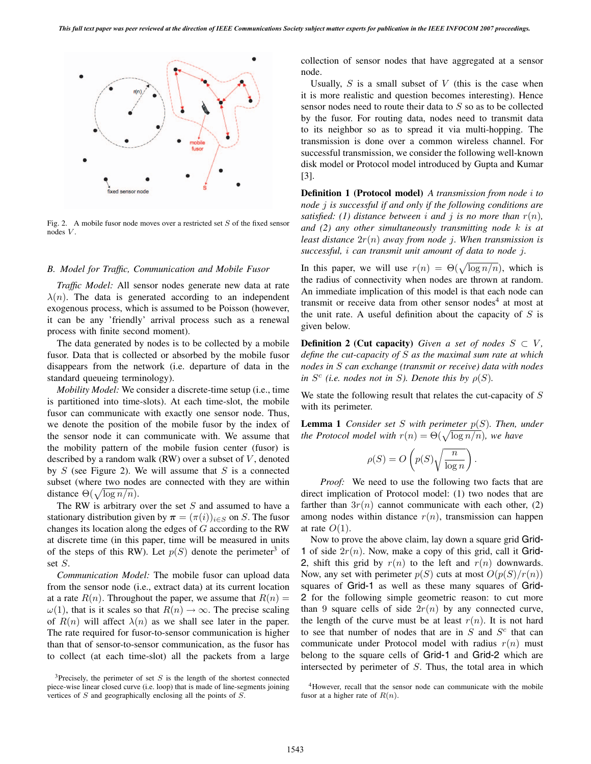

Fig. 2. A mobile fusor node moves over a restricted set S of the fixed sensor nodes V.

# *B. Model for Traffic, Communication and Mobile Fusor*

*Traffic Model:* All sensor nodes generate new data at rate  $\lambda(n)$ . The data is generated according to an independent exogenous process, which is assumed to be Poisson (however, it can be any 'friendly' arrival process such as a renewal process with finite second moment).

The data generated by nodes is to be collected by a mobile fusor. Data that is collected or absorbed by the mobile fusor disappears from the network (i.e. departure of data in the standard queueing terminology).

*Mobility Model:* We consider a discrete-time setup (i.e., time is partitioned into time-slots). At each time-slot, the mobile fusor can communicate with exactly one sensor node. Thus, we denote the position of the mobile fusor by the index of the sensor node it can communicate with. We assume that the mobility pattern of the mobile fusion center (fusor) is described by a random walk (RW) over a subset of  $V$ , denoted by  $S$  (see Figure 2). We will assume that  $S$  is a connected subset (where two nodes are connected with they are within distance  $\Theta(\sqrt{\log n/n})$ .

The RW is arbitrary over the set  $S$  and assumed to have a stationary distribution given by  $\pi = (\pi(i))_{i \in S}$  on S. The fusor changes its location along the edges of G according to the RW at discrete time (in this paper, time will be measured in units of the steps of this RW). Let  $p(S)$  denote the perimeter<sup>3</sup> of set S.

*Communication Model:* The mobile fusor can upload data from the sensor node (i.e., extract data) at its current location at a rate  $R(n)$ . Throughout the paper, we assume that  $R(n) =$  $\omega(1)$ , that is it scales so that  $R(n) \to \infty$ . The precise scaling of  $R(n)$  will affect  $\lambda(n)$  as we shall see later in the paper. The rate required for fusor-to-sensor communication is higher than that of sensor-to-sensor communication, as the fusor has to collect (at each time-slot) all the packets from a large collection of sensor nodes that have aggregated at a sensor node.

Usually,  $S$  is a small subset of  $V$  (this is the case when it is more realistic and question becomes interesting). Hence sensor nodes need to route their data to S so as to be collected by the fusor. For routing data, nodes need to transmit data to its neighbor so as to spread it via multi-hopping. The transmission is done over a common wireless channel. For successful transmission, we consider the following well-known disk model or Protocol model introduced by Gupta and Kumar [3].

**Definition 1 (Protocol model)** *A transmission from node* i *to node* j *is successful if and only if the following conditions are satisfied:* (1) *distance between i and j is no more than*  $r(n)$ *, and (2) any other simultaneously transmitting node* k *is at least distance* 2r(n) *away from node* j*. When transmission is successful,* i *can transmit unit amount of data to node* j*.*

In this paper, we will use  $r(n) = \Theta(\sqrt{\log n/n})$ , which is the radius of connectivity when nodes are thrown at random. An immediate implication of this model is that each node can transmit or receive data from other sensor nodes<sup>4</sup> at most at the unit rate. A useful definition about the capacity of  $S$  is given below.

**Definition 2** (Cut **capacity**) *Given a set of nodes*  $S \subset V$ *, define the cut-capacity of* S *as the maximal sum rate at which nodes in* S *can exchange (transmit or receive) data with nodes in*  $S^c$  *(i.e. nodes not in S). Denote this by*  $\rho(S)$ *.* 

We state the following result that relates the cut-capacity of  $S$ with its perimeter.

**Lemma** 1 *Consider set* S *with perimeter*  $p(S)$ *. Then, under the Protocol model with*  $r(n) = \Theta(\sqrt{\log n/n})$ *, we have* 

$$
\rho(S) = O\left(p(S)\sqrt{\frac{n}{\log n}}\right).
$$

*Proof:* We need to use the following two facts that are direct implication of Protocol model: (1) two nodes that are farther than  $3r(n)$  cannot communicate with each other, (2) among nodes within distance  $r(n)$ , transmission can happen at rate  $O(1)$ .

Now to prove the above claim, lay down a square grid Grid-1 of side  $2r(n)$ . Now, make a copy of this grid, call it Grid-2, shift this grid by  $r(n)$  to the left and  $r(n)$  downwards. Now, any set with perimeter  $p(S)$  cuts at most  $O(p(S)/r(n))$ squares of Grid-1 as well as these many squares of Grid-2 for the following simple geometric reason: to cut more than 9 square cells of side  $2r(n)$  by any connected curve, the length of the curve must be at least  $r(n)$ . It is not hard to see that number of nodes that are in  $S$  and  $S<sup>c</sup>$  that can communicate under Protocol model with radius  $r(n)$  must belong to the square cells of Grid-1 and Grid-2 which are intersected by perimeter of S. Thus, the total area in which

 $3$ Precisely, the perimeter of set S is the length of the shortest connected piece-wise linear closed curve (i.e. loop) that is made of line-segments joining vertices of S and geographically enclosing all the points of S.

<sup>&</sup>lt;sup>4</sup>However, recall that the sensor node can communicate with the mobile fusor at a higher rate of  $R(n)$ .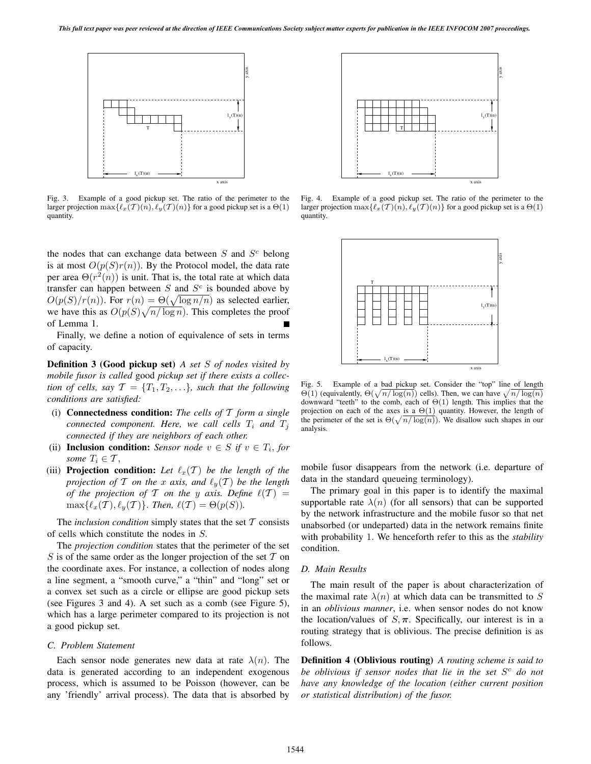

Fig. 3. Example of a good pickup set. The ratio of the perimeter to the larger projection  $\max{\{\ell_x(\mathcal{T})(n), \ell_y(\mathcal{T})(n)\}}$  for a good pickup set is a  $\Theta(1)$ quantity.

the nodes that can exchange data between  $S$  and  $S<sup>c</sup>$  belong is at most  $O(p(S)r(n))$ . By the Protocol model, the data rate per area  $\Theta(r^2(n))$  is unit. That is, the total rate at which data transfer can happen between  $S$  and  $S<sup>c</sup>$  is bounded above by  $O(p(S)/r(n))$ . For  $r(n) = \Theta(\sqrt{\log n/n})$  as selected earlier, we have this as  $O(p(S)\sqrt{n/\log n})$ . This completes the proof of Lemma 1.

Finally, we define a notion of equivalence of sets in terms of capacity.

**Definition 3 (Good pickup set)** *A set* S *of nodes visited by mobile fusor is called* good *pickup set if there exists a collection of cells, say*  $\mathcal{T} = \{T_1, T_2, \ldots\}$ *, such that the following conditions are satisfied:*

- (i) **Connectedness condition:** *The cells of* T *form a single connected component.* Here, we call cells  $T_i$  and  $T_j$ *connected if they are neighbors of each other.*
- (ii) **Inclusion condition:** *Sensor node*  $v \in S$  *if*  $v \in T_i$ *, for some*  $T_i \in \mathcal{T}$ ,
- (iii) **Projection condition:** Let  $\ell_x(T)$  be the length of the *projection of*  $T$  *on the*  $x$  *axis, and*  $\ell_y(T)$  *be the length of the projection of* T *on the y axis.* Define  $\ell(T)$  =  $\max\{\ell_x(\mathcal{T}), \ell_y(\mathcal{T})\}.$  *Then,*  $\ell(\mathcal{T}) = \Theta(p(S)).$

The *inclusion condition* simply states that the set  $T$  consists of cells which constitute the nodes in S.

The *projection condition* states that the perimeter of the set S is of the same order as the longer projection of the set  $\mathcal T$  on the coordinate axes. For instance, a collection of nodes along a line segment, a "smooth curve," a "thin" and "long" set or a convex set such as a circle or ellipse are good pickup sets (see Figures 3 and 4). A set such as a comb (see Figure 5), which has a large perimeter compared to its projection is not a good pickup set.

### *C. Problem Statement*

Each sensor node generates new data at rate  $\lambda(n)$ . The data is generated according to an independent exogenous process, which is assumed to be Poisson (however, can be any 'friendly' arrival process). The data that is absorbed by



Fig. 4. Example of a good pickup set. The ratio of the perimeter to the larger projection  $\max{\{\ell_x(\mathcal{T})(n), \ell_y(\mathcal{T})(n)\}}$  for a good pickup set is a  $\Theta(1)$ quantity.



Fig. 5. Example of a bad pickup set. Consider the "top" line of length  $\Theta(1)$  (equivalently,  $\Theta(\sqrt{n/\log(n)})$  cells). Then, we can have  $\sqrt{n/\log(n)}$ downward "teeth" to the comb, each of Θ(1) length. This implies that the projection on each of the axes is a  $\Theta(1)$  quantity. However, the length of the perimeter of the set is  $\Theta(\sqrt{n/\log(n)})$ . We disallow such shapes in our analysis.

mobile fusor disappears from the network (i.e. departure of data in the standard queueing terminology).

The primary goal in this paper is to identify the maximal supportable rate  $\lambda(n)$  (for all sensors) that can be supported by the network infrastructure and the mobile fusor so that net unabsorbed (or undeparted) data in the network remains finite with probability 1. We henceforth refer to this as the *stability* condition.

## *D. Main Results*

The main result of the paper is about characterization of the maximal rate  $\lambda(n)$  at which data can be transmitted to S in an *oblivious manner*, i.e. when sensor nodes do not know the location/values of  $S$ ,  $\pi$ . Specifically, our interest is in a routing strategy that is oblivious. The precise definition is as follows.

**Definition 4 (Oblivious routing)** *A routing scheme is said to be oblivious if sensor nodes that lie in the set* S<sup>c</sup> *do not have any knowledge of the location (either current position or statistical distribution) of the fusor.*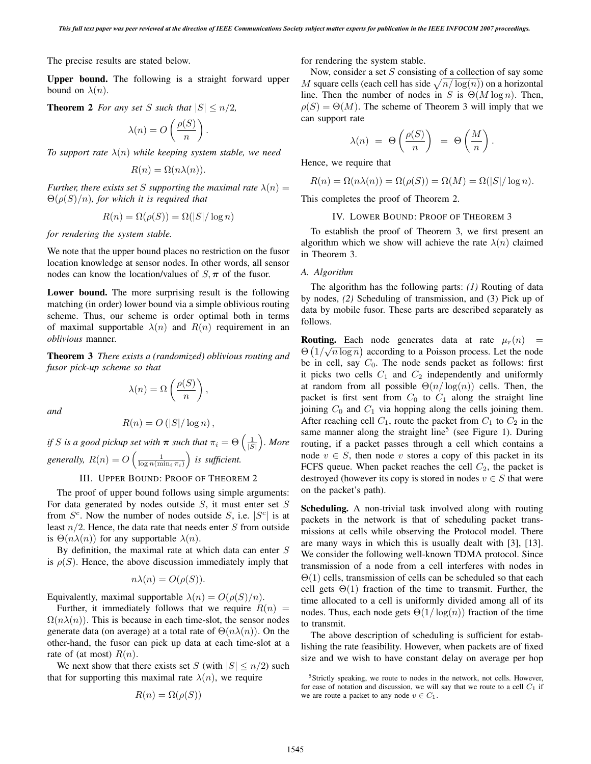The precise results are stated below.

**Upper bound.** The following is a straight forward upper bound on  $\lambda(n)$ .

**Theorem 2** *For any set* S *such that*  $|S| \le n/2$ ,

$$
\lambda(n) = O\left(\frac{\rho(S)}{n}\right).
$$

*To* support rate  $\lambda(n)$  while keeping system stable, we need

$$
R(n) = \Omega(n\lambda(n)).
$$

*Further, there exists set S supporting the maximal rate*  $\lambda(n) =$  $\Theta(\rho(S)/n)$ *, for which it is required that* 

$$
R(n) = \Omega(\rho(S)) = \Omega(|S|/\log n)
$$

*for rendering the system stable.*

We note that the upper bound places no restriction on the fusor location knowledge at sensor nodes. In other words, all sensor nodes can know the location/values of  $S, \pi$  of the fusor.

**Lower bound.** The more surprising result is the following matching (in order) lower bound via a simple oblivious routing scheme. Thus, our scheme is order optimal both in terms of maximal supportable  $\lambda(n)$  and  $R(n)$  requirement in an *oblivious* manner.

**Theorem 3** *There exists a (randomized) oblivious routing and fusor pick-up scheme so that*

 $\lambda(n) = \Omega\left(\frac{\rho(S)}{n}\right)$ 

*and*

$$
R(n) = O\left(|S|/\log n\right),
$$

n

 $\overline{ }$ ,

*if S is a good pickup set with*  $\pi$  *such that*  $\pi_i = \Theta\left(\frac{1}{|S|}\right)$ |S| ' *. More* generally,  $R(n) = O\left(\frac{1}{\log n(\min_i \pi_i)}\right)$  is sufficient.

III. UPPER BOUND: PROOF OF THEOREM 2

The proof of upper bound follows using simple arguments: For data generated by nodes outside  $S$ , it must enter set  $S$ from  $S^c$ . Now the number of nodes outside S, i.e.  $|S^c|$  is at least  $n/2$ . Hence, the data rate that needs enter S from outside is  $\Theta(n\lambda(n))$  for any supportable  $\lambda(n)$ .

By definition, the maximal rate at which data can enter  $S$ is  $\rho(S)$ . Hence, the above discussion immediately imply that

$$
n\lambda(n) = O(\rho(S)).
$$

Equivalently, maximal supportable  $\lambda(n) = O(\rho(S)/n)$ .

Further, it immediately follows that we require  $R(n)$  =  $\Omega(n\lambda(n))$ . This is because in each time-slot, the sensor nodes generate data (on average) at a total rate of  $\Theta(n\lambda(n))$ . On the other-hand, the fusor can pick up data at each time-slot at a rate of (at most)  $R(n)$ .

We next show that there exists set S (with  $|S| \leq n/2$ ) such that for supporting this maximal rate  $\lambda(n)$ , we require

$$
R(n) = \Omega(\rho(S))
$$

for rendering the system stable.

Now, consider a set  $S$  consisting of a collection of say some M square cells (each cell has side  $\sqrt{n/\log(n)}$ ) on a horizontal line. Then the number of nodes in S is  $\Theta(M \log n)$ . Then,  $\rho(S) = \Theta(M)$ . The scheme of Theorem 3 will imply that we can support rate

$$
\lambda(n) = \Theta\left(\frac{\rho(S)}{n}\right) = \Theta\left(\frac{M}{n}\right).
$$

Hence, we require that

$$
R(n) = \Omega(n\lambda(n)) = \Omega(\rho(S)) = \Omega(M) = \Omega(|S|/\log n).
$$

This completes the proof of Theorem 2.

# IV. LOWER BOUND: PROOF OF THEOREM 3

To establish the proof of Theorem 3, we first present an algorithm which we show will achieve the rate  $\lambda(n)$  claimed in Theorem 3.

# *A. Algorithm*

The algorithm has the following parts: *(1)* Routing of data by nodes, *(2)* Scheduling of transmission, and (3) Pick up of data by mobile fusor. These parts are described separately as follows.

**Routing.** Each node generates data at rate  $\mu_r(n)$  =  $\Theta\left(1/\sqrt{n\log n}\right)$  according to a Poisson process. Let the node be in cell, say  $C_0$ . The node sends packet as follows: first it picks two cells  $C_1$  and  $C_2$  independently and uniformly at random from all possible  $\Theta(n/\log(n))$  cells. Then, the packet is first sent from  $C_0$  to  $C_1$  along the straight line joining  $C_0$  and  $C_1$  via hopping along the cells joining them. After reaching cell  $C_1$ , route the packet from  $C_1$  to  $C_2$  in the same manner along the straight line<sup>5</sup> (see Figure 1). During routing, if a packet passes through a cell which contains a node  $v \in S$ , then node v stores a copy of this packet in its FCFS queue. When packet reaches the cell  $C_2$ , the packet is destroyed (however its copy is stored in nodes  $v \in S$  that were on the packet's path).

**Scheduling.** A non-trivial task involved along with routing packets in the network is that of scheduling packet transmissions at cells while observing the Protocol model. There are many ways in which this is usually dealt with [3], [13]. We consider the following well-known TDMA protocol. Since transmission of a node from a cell interferes with nodes in  $\Theta(1)$  cells, transmission of cells can be scheduled so that each cell gets  $\Theta(1)$  fraction of the time to transmit. Further, the time allocated to a cell is uniformly divided among all of its nodes. Thus, each node gets  $\Theta(1/\log(n))$  fraction of the time to transmit.

The above description of scheduling is sufficient for establishing the rate feasibility. However, when packets are of fixed size and we wish to have constant delay on average per hop

<sup>&</sup>lt;sup>5</sup>Strictly speaking, we route to nodes in the network, not cells. However, for ease of notation and discussion, we will say that we route to a cell  $C_1$  if we are route a packet to any node  $v \in C_1$ .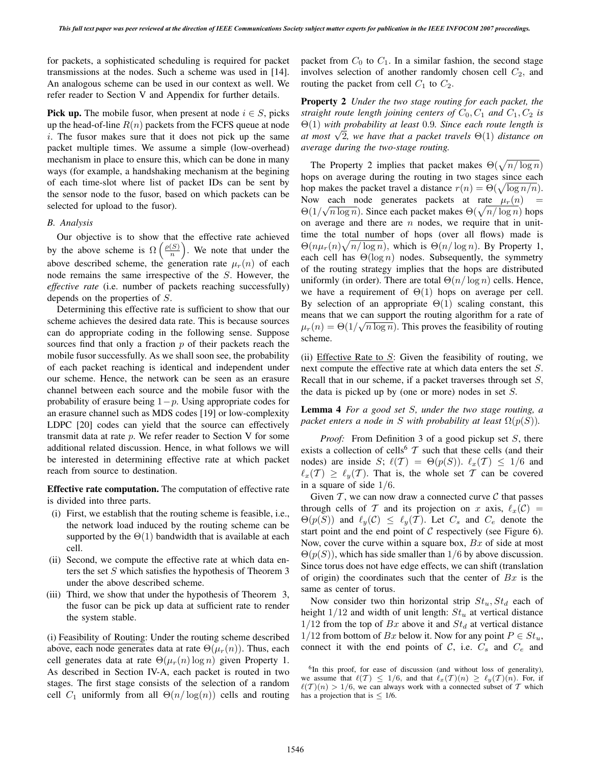for packets, a sophisticated scheduling is required for packet transmissions at the nodes. Such a scheme was used in [14]. An analogous scheme can be used in our context as well. We refer reader to Section V and Appendix for further details.

**Pick up.** The mobile fusor, when present at node  $i \in S$ , picks up the head-of-line  $R(n)$  packets from the FCFS queue at node i. The fusor makes sure that it does not pick up the same packet multiple times. We assume a simple (low-overhead) mechanism in place to ensure this, which can be done in many ways (for example, a handshaking mechanism at the begining of each time-slot where list of packet IDs can be sent by the sensor node to the fusor, based on which packets can be selected for upload to the fusor).

## *B. Analysis*

Our objective is to show that the effective rate achieved by the above scheme is  $\Omega\left(\frac{\rho(S)}{n}\right)$  $\binom{S}{n}$ . We note that under the above described scheme, the generation rate  $\mu_r(n)$  of each node remains the same irrespective of the S. However, the *effective rate* (i.e. number of packets reaching successfully) depends on the properties of S.

Determining this effective rate is sufficient to show that our scheme achieves the desired data rate. This is because sources can do appropriate coding in the following sense. Suppose sources find that only a fraction  $p$  of their packets reach the mobile fusor successfully. As we shall soon see, the probability of each packet reaching is identical and independent under our scheme. Hence, the network can be seen as an erasure channel between each source and the mobile fusor with the probability of erasure being  $1-p$ . Using appropriate codes for an erasure channel such as MDS codes [19] or low-complexity LDPC [20] codes can yield that the source can effectively transmit data at rate  $p$ . We refer reader to Section V for some additional related discussion. Hence, in what follows we will be interested in determining effective rate at which packet reach from source to destination.

**Effective rate computation.** The computation of effective rate is divided into three parts.

- (i) First, we establish that the routing scheme is feasible, i.e., the network load induced by the routing scheme can be supported by the  $\Theta(1)$  bandwidth that is available at each cell.
- (ii) Second, we compute the effective rate at which data enters the set S which satisfies the hypothesis of Theorem 3 under the above described scheme.
- (iii) Third, we show that under the hypothesis of Theorem 3, the fusor can be pick up data at sufficient rate to render the system stable.

(i) Feasibility of Routing: Under the routing scheme described above, each node generates data at rate  $\Theta(\mu_r(n))$ . Thus, each cell generates data at rate  $\Theta(\mu_r(n) \log n)$  given Property 1. As described in Section IV-A, each packet is routed in two stages. The first stage consists of the selection of a random cell  $C_1$  uniformly from all  $\Theta(n/\log(n))$  cells and routing packet from  $C_0$  to  $C_1$ . In a similar fashion, the second stage involves selection of another randomly chosen cell  $C_2$ , and routing the packet from cell  $C_1$  to  $C_2$ .

**Property 2** *Under the two stage routing for each packet, the straight route length joining centers of*  $C_0$ ,  $C_1$  *and*  $C_1$ ,  $C_2$  *is* Θ(1) *with probability at least* 0.9*. Since each route length is at most*  $\sqrt{2}$ *, we have that a packet travels*  $\Theta(1)$  *distance on average during the two-stage routing.*

The Property 2 implies that packet makes  $\Theta(\sqrt{n/\log n})$ hops on average during the routing in two stages since each hop makes the packet travel a distance  $r(n) = \Theta(\sqrt{\log n/n})$ . Now each node generates packets at rate  $\mu_r(n)$  =  $\Theta(1/\sqrt{n \log n})$ . Since each packet makes  $\Theta(\sqrt{n/\log n})$  hops on average and there are  $n$  nodes, we require that in unittime the total number of hops (over all flows) made is  $\Theta(n\mu_r(n)\sqrt{n/\log n})$ , which is  $\Theta(n/\log n)$ . By Property 1, each cell has  $\Theta(\log n)$  nodes. Subsequently, the symmetry of the routing strategy implies that the hops are distributed uniformly (in order). There are total  $\Theta(n/\log n)$  cells. Hence, we have a requirement of  $\Theta(1)$  hops on average per cell. By selection of an appropriate  $\Theta(1)$  scaling constant, this means that we can support the routing algorithm for a rate of  $\mu_r(n) = \Theta(1/\sqrt{n \log n})$ . This proves the feasibility of routing scheme.

(ii) Effective Rate to  $S$ : Given the feasibility of routing, we next compute the effective rate at which data enters the set S. Recall that in our scheme, if a packet traverses through set  $S$ , the data is picked up by (one or more) nodes in set S.

**Lemma 4** *For a good set* S*, under the two stage routing, a packet enters a node in S with probability at least*  $\Omega(p(S))$ *.* 

*Proof:* From Definition 3 of a good pickup set S, there exists a collection of cells<sup>6</sup>  $\mathcal T$  such that these cells (and their nodes) are inside S;  $\ell(\mathcal{T}) = \Theta(p(S))$ .  $\ell_x(\mathcal{T}) \leq 1/6$  and  $\ell_x(T) \geq \ell_y(T)$ . That is, the whole set T can be covered in a square of side 1/6.

Given  $\mathcal T$ , we can now draw a connected curve  $\mathcal C$  that passes through cells of T and its projection on x axis,  $\ell_x(\mathcal{C}) =$  $\Theta(p(S))$  and  $\ell_y(\mathcal{C}) \leq \ell_y(\mathcal{T})$ . Let  $C_s$  and  $C_e$  denote the start point and the end point of  $C$  respectively (see Figure 6). Now, cover the curve within a square box,  $Bx$  of side at most  $\Theta(p(S))$ , which has side smaller than 1/6 by above discussion. Since torus does not have edge effects, we can shift (translation of origin) the coordinates such that the center of  $Bx$  is the same as center of torus.

Now consider two thin horizontal strip  $St_u, St_d$  each of height  $1/12$  and width of unit length:  $St_u$  at vertical distance  $1/12$  from the top of  $Bx$  above it and  $St<sub>d</sub>$  at vertical distance 1/12 from bottom of Bx below it. Now for any point  $P \in St_u$ , connect it with the end points of  $C$ , i.e.  $C_s$  and  $C_e$  and

<sup>&</sup>lt;sup>6</sup>In this proof, for ease of discussion (and without loss of generality), we assume that  $\ell(\mathcal{T}) \leq 1/6$ , and that  $\ell_x(\mathcal{T})(n) \geq \ell_y(\mathcal{T})(n)$ . For, if  $\ell(\mathcal{T})(n) > 1/6$ , we can always work with a connected subset of T which has a projection that is  $\leq$  1/6.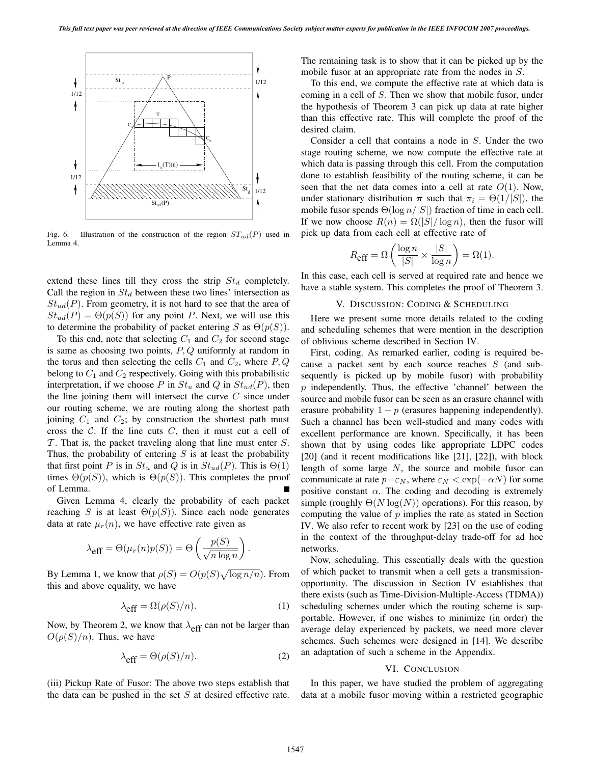

Fig. 6. Illustration of the construction of the region  $ST_{ud}(P)$  used in Lemma 4.

extend these lines till they cross the strip  $St<sub>d</sub>$  completely. Call the region in  $St_d$  between these two lines' intersection as  $St<sub>ud</sub>(P)$ . From geometry, it is not hard to see that the area of  $St_{ud}(P) = \Theta(p(S))$  for any point P. Next, we will use this to determine the probability of packet entering S as  $\Theta(p(S))$ .

To this end, note that selecting  $C_1$  and  $C_2$  for second stage is same as choosing two points,  $P, Q$  uniformly at random in the torus and then selecting the cells  $C_1$  and  $C_2$ , where  $P, Q$ belong to  $C_1$  and  $C_2$  respectively. Going with this probabilistic interpretation, if we choose P in  $St_u$  and Q in  $St_{ud}(P)$ , then the line joining them will intersect the curve  $C$  since under our routing scheme, we are routing along the shortest path joining  $C_1$  and  $C_2$ ; by construction the shortest path must cross the  $C$ . If the line cuts  $C$ , then it must cut a cell of  $\mathcal T$ . That is, the packet traveling along that line must enter  $S$ . Thus, the probability of entering  $S$  is at least the probability that first point P is in  $St_u$  and Q is in  $St_{ud}(P)$ . This is  $\Theta(1)$ times  $\Theta(p(S))$ , which is  $\Theta(p(S))$ . This completes the proof of Lemma.

Given Lemma 4, clearly the probability of each packet reaching S is at least  $\Theta(p(S))$ . Since each node generates data at rate  $\mu_r(n)$ , we have effective rate given as

$$
\lambda_{\text{eff}} = \Theta(\mu_r(n)p(S)) = \Theta\left(\frac{p(S)}{\sqrt{n \log n}}\right).
$$

By Lemma 1, we know that  $\rho(S) = O(p(S)\sqrt{\log n/n})$ . From this and above equality, we have

$$
\lambda_{\text{eff}} = \Omega(\rho(S)/n). \tag{1}
$$

Now, by Theorem 2, we know that  $\lambda_{\text{eff}}$  can not be larger than  $O(\rho(S)/n)$ . Thus, we have

$$
\lambda_{\text{eff}} = \Theta(\rho(S)/n). \tag{2}
$$

(iii) Pickup Rate of Fusor: The above two steps establish that the data can be pushed in the set  $S$  at desired effective rate. The remaining task is to show that it can be picked up by the mobile fusor at an appropriate rate from the nodes in S.

To this end, we compute the effective rate at which data is coming in a cell of S. Then we show that mobile fusor, under the hypothesis of Theorem 3 can pick up data at rate higher than this effective rate. This will complete the proof of the desired claim.

Consider a cell that contains a node in S. Under the two stage routing scheme, we now compute the effective rate at which data is passing through this cell. From the computation done to establish feasibility of the routing scheme, it can be seen that the net data comes into a cell at rate  $O(1)$ . Now, under stationary distribution  $\pi$  such that  $\pi_i = \Theta(1/|S|)$ , the mobile fusor spends  $\Theta(\log n/|S|)$  fraction of time in each cell. If we now choose  $R(n) = \Omega(|S|/\log n)$ , then the fusor will pick up data from each cell at effective rate of

$$
R_{\mbox{eff}} = \Omega\left(\frac{\log n}{|S|} \times \frac{|S|}{\log n}\right) = \Omega(1).
$$

In this case, each cell is served at required rate and hence we have a stable system. This completes the proof of Theorem 3.

### V. DISCUSSION: CODING & SCHEDULING

Here we present some more details related to the coding and scheduling schemes that were mention in the description of oblivious scheme described in Section IV.

First, coding. As remarked earlier, coding is required because a packet sent by each source reaches S (and subsequently is picked up by mobile fusor) with probability  $p$  independently. Thus, the effective 'channel' between the source and mobile fusor can be seen as an erasure channel with erasure probability  $1 - p$  (erasures happening independently). Such a channel has been well-studied and many codes with excellent performance are known. Specifically, it has been shown that by using codes like appropriate LDPC codes [20] (and it recent modifications like [21], [22]), with block length of some large  $N$ , the source and mobile fusor can communicate at rate  $p-\varepsilon_N$ , where  $\varepsilon_N < \exp(-\alpha N)$  for some positive constant  $\alpha$ . The coding and decoding is extremely simple (roughly  $\Theta(N \log(N))$ ) operations). For this reason, by computing the value of  $p$  implies the rate as stated in Section IV. We also refer to recent work by [23] on the use of coding in the context of the throughput-delay trade-off for ad hoc networks.

Now, scheduling. This essentially deals with the question of which packet to transmit when a cell gets a transmissionopportunity. The discussion in Section IV establishes that there exists (such as Time-Division-Multiple-Access (TDMA)) scheduling schemes under which the routing scheme is supportable. However, if one wishes to minimize (in order) the average delay experienced by packets, we need more clever schemes. Such schemes were designed in [14]. We describe an adaptation of such a scheme in the Appendix.

## VI. CONCLUSION

In this paper, we have studied the problem of aggregating data at a mobile fusor moving within a restricted geographic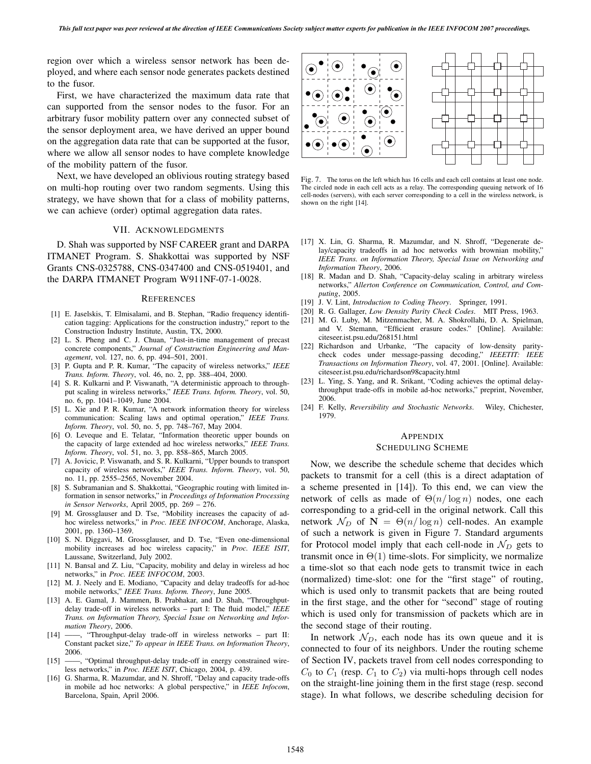region over which a wireless sensor network has been deployed, and where each sensor node generates packets destined to the fusor.

First, we have characterized the maximum data rate that can supported from the sensor nodes to the fusor. For an arbitrary fusor mobility pattern over any connected subset of the sensor deployment area, we have derived an upper bound on the aggregation data rate that can be supported at the fusor, where we allow all sensor nodes to have complete knowledge of the mobility pattern of the fusor.

Next, we have developed an oblivious routing strategy based on multi-hop routing over two random segments. Using this strategy, we have shown that for a class of mobility patterns, we can achieve (order) optimal aggregation data rates.

## VII. ACKNOWLEDGMENTS

D. Shah was supported by NSF CAREER grant and DARPA ITMANET Program. S. Shakkottai was supported by NSF Grants CNS-0325788, CNS-0347400 and CNS-0519401, and the DARPA ITMANET Program W911NF-07-1-0028.

### **REFERENCES**

- [1] E. Jaselskis, T. Elmisalami, and B. Stephan, "Radio frequency identification tagging: Applications for the construction industry," report to the Construction Industry Institute, Austin, TX, 2000.
- [2] L. S. Pheng and C. J. Chuan, "Just-in-time management of precast concrete components," *Journal of Construction Engineering and Management*, vol. 127, no. 6, pp. 494–501, 2001.
- [3] P. Gupta and P. R. Kumar, "The capacity of wireless networks," *IEEE Trans. Inform. Theory*, vol. 46, no. 2, pp. 388–404, 2000.
- [4] S. R. Kulkarni and P. Viswanath, "A deterministic approach to throughput scaling in wireless networks," *IEEE Trans. Inform. Theory*, vol. 50, no. 6, pp. 1041–1049, June 2004.
- [5] L. Xie and P. R. Kumar, "A network information theory for wireless communication: Scaling laws and optimal operation," *IEEE Trans. Inform. Theory*, vol. 50, no. 5, pp. 748–767, May 2004.
- [6] O. Leveque and E. Telatar, "Information theoretic upper bounds on the capacity of large extended ad hoc wireless networks," *IEEE Trans. Inform. Theory*, vol. 51, no. 3, pp. 858–865, March 2005.
- [7] A. Jovicic, P. Viswanath, and S. R. Kulkarni, "Upper bounds to transport capacity of wireless networks," *IEEE Trans. Inform. Theory*, vol. 50, no. 11, pp. 2555–2565, November 2004.
- [8] S. Subramanian and S. Shakkottai, "Geographic routing with limited information in sensor networks," in *Proceedings of Information Processing in Sensor Networks*, April 2005, pp. 269 – 276.
- [9] M. Grossglauser and D. Tse, "Mobility increases the capacity of adhoc wireless networks," in *Proc. IEEE INFOCOM*, Anchorage, Alaska, 2001, pp. 1360–1369.
- [10] S. N. Diggavi, M. Grossglauser, and D. Tse, "Even one-dimensional mobility increases ad hoc wireless capacity," in *Proc. IEEE ISIT*, Laussane, Switzerland, July 2002.
- [11] N. Bansal and Z. Liu, "Capacity, mobility and delay in wireless ad hoc networks," in *Proc. IEEE INFOCOM*, 2003.
- [12] M. J. Neely and E. Modiano, "Capacity and delay tradeoffs for ad-hoc mobile networks," *IEEE Trans. Inform. Theory*, June 2005.
- [13] A. E. Gamal, J. Mammen, B. Prabhakar, and D. Shah, "Throughputdelay trade-off in wireless networks – part I: The fluid model," *IEEE Trans. on Information Theory, Special Issue on Networking and Information Theory*, 2006.
- [14] ——, "Throughput-delay trade-off in wireless networks part II: Constant packet size," *To appear in IEEE Trans. on Information Theory*, 2006.
- [15] -, "Optimal throughput-delay trade-off in energy constrained wireless networks," in *Proc. IEEE ISIT*, Chicago, 2004, p. 439.
- [16] G. Sharma, R. Mazumdar, and N. Shroff, "Delay and capacity trade-offs in mobile ad hoc networks: A global perspective," in *IEEE Infocom*, Barcelona, Spain, April 2006.



Fig. 7. The torus on the left which has 16 cells and each cell contains at least one node. The circled node in each cell acts as a relay. The corresponding queuing network of 16 cell-nodes (servers), with each server corresponding to a cell in the wireless network, is shown on the right [14].

- [17] X. Lin, G. Sharma, R. Mazumdar, and N. Shroff, "Degenerate delay/capacity tradeoffs in ad hoc networks with brownian mobility. *IEEE Trans. on Information Theory, Special Issue on Networking and Information Theory*, 2006.
- [18] R. Madan and D. Shah, "Capacity-delay scaling in arbitrary wireless networks," *Allerton Conference on Communication, Control, and Computing*, 2005.
- [19] J. V. Lint, *Introduction to Coding Theory*. Springer, 1991.
- [20] R. G. Gallager, *Low Density Parity Check Codes*. MIT Press, 1963.
- [21] M. G. Luby, M. Mitzenmacher, M. A. Shokrollahi, D. A. Spielman, and V. Stemann, "Efficient erasure codes." [Online]. Available: citeseer.ist.psu.edu/268151.html
- [22] Richardson and Urbanke, "The capacity of low-density paritycheck codes under message-passing decoding," *IEEETIT: IEEE Transactions on Information Theory*, vol. 47, 2001. [Online]. Available: citeseer.ist.psu.edu/richardson98capacity.html
- [23] L. Ying, S. Yang, and R. Srikant, "Coding achieves the optimal delaythroughput trade-offs in mobile ad-hoc networks," preprint, November, 2006.
- [24] F. Kelly, *Reversibility and Stochastic Networks*. Wiley, Chichester, 1979.

## APPENDIX

## SCHEDULING SCHEME

Now, we describe the schedule scheme that decides which packets to transmit for a cell (this is a direct adaptation of a scheme presented in [14]). To this end, we can view the network of cells as made of  $\Theta(n/\log n)$  nodes, one each corresponding to a grid-cell in the original network. Call this network  $\mathcal{N}_D$  of  $\mathbf{N} = \Theta(n/\log n)$  cell-nodes. An example of such a network is given in Figure 7. Standard arguments for Protocol model imply that each cell-node in  $\mathcal{N}_D$  gets to transmit once in  $\Theta(1)$  time-slots. For simplicity, we normalize a time-slot so that each node gets to transmit twice in each (normalized) time-slot: one for the "first stage" of routing, which is used only to transmit packets that are being routed in the first stage, and the other for "second" stage of routing which is used only for transmission of packets which are in the second stage of their routing.

In network  $N_D$ , each node has its own queue and it is connected to four of its neighbors. Under the routing scheme of Section IV, packets travel from cell nodes corresponding to  $C_0$  to  $C_1$  (resp.  $C_1$  to  $C_2$ ) via multi-hops through cell nodes on the straight-line joining them in the first stage (resp. second stage). In what follows, we describe scheduling decision for